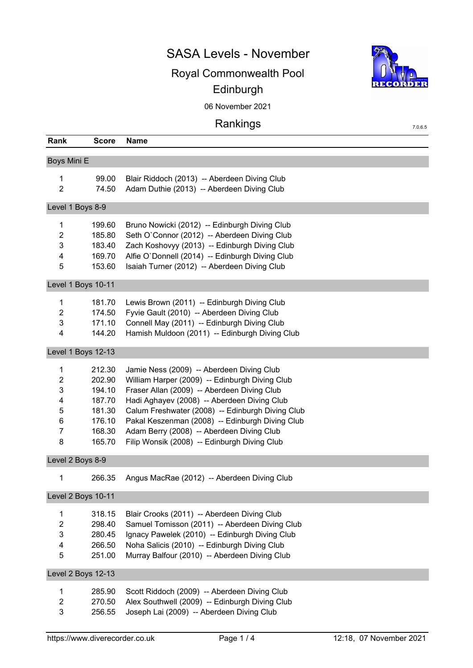### SASA Levels - November

# Royal Commonwealth Pool Edinburgh



7.0.6.5

06 November 2021

# Rankings

| Rank             | <b>Score</b>       | <b>Name</b>                                      |
|------------------|--------------------|--------------------------------------------------|
| Boys Mini E      |                    |                                                  |
| $\mathbf{1}$     | 99.00              | Blair Riddoch (2013) -- Aberdeen Diving Club     |
| $\overline{2}$   | 74.50              | Adam Duthie (2013) -- Aberdeen Diving Club       |
| Level 1 Boys 8-9 |                    |                                                  |
| 1                | 199.60             | Bruno Nowicki (2012) -- Edinburgh Diving Club    |
| 2                | 185.80             | Seth O'Connor (2012) -- Aberdeen Diving Club     |
| 3                | 183.40             | Zach Koshovyy (2013) -- Edinburgh Diving Club    |
| 4                | 169.70             | Alfie O'Donnell (2014) -- Edinburgh Diving Club  |
| 5                | 153.60             | Isaiah Turner (2012) -- Aberdeen Diving Club     |
|                  | Level 1 Boys 10-11 |                                                  |
| $\mathbf{1}$     | 181.70             | Lewis Brown (2011) -- Edinburgh Diving Club      |
| $\overline{2}$   | 174.50             | Fyvie Gault (2010) -- Aberdeen Diving Club       |
| 3                | 171.10             | Connell May (2011) -- Edinburgh Diving Club      |
| $\overline{4}$   | 144.20             | Hamish Muldoon (2011) -- Edinburgh Diving Club   |
|                  |                    |                                                  |
|                  | Level 1 Boys 12-13 |                                                  |
| $\mathbf{1}$     | 212.30             | Jamie Ness (2009) -- Aberdeen Diving Club        |
| $\overline{c}$   | 202.90             | William Harper (2009) -- Edinburgh Diving Club   |
| 3                | 194.10             | Fraser Allan (2009) -- Aberdeen Diving Club      |
| 4                | 187.70             | Hadi Aghayev (2008) -- Aberdeen Diving Club      |
| 5                | 181.30             | Calum Freshwater (2008) -- Edinburgh Diving Club |
| 6                | 176.10             | Pakal Keszenman (2008) -- Edinburgh Diving Club  |
| $\overline{7}$   | 168.30             | Adam Berry (2008) -- Aberdeen Diving Club        |
| 8                | 165.70             | Filip Wonsik (2008) -- Edinburgh Diving Club     |
| Level 2 Boys 8-9 |                    |                                                  |
| 1                | 266.35             | Angus MacRae (2012) -- Aberdeen Diving Club      |
|                  | Level 2 Boys 10-11 |                                                  |
| $\mathbf{1}$     | 318.15             | Blair Crooks (2011) -- Aberdeen Diving Club      |
| $\overline{2}$   | 298.40             | Samuel Tomisson (2011) -- Aberdeen Diving Club   |
| 3                | 280.45             | Ignacy Pawelek (2010) -- Edinburgh Diving Club   |
| 4                | 266.50             | Noha Salicis (2010) -- Edinburgh Diving Club     |
| 5                | 251.00             | Murray Balfour (2010) -- Aberdeen Diving Club    |
|                  | Level 2 Boys 12-13 |                                                  |
| 1                | 285.90             | Scott Riddoch (2009) -- Aberdeen Diving Club     |
| $\overline{c}$   | 270.50             | Alex Southwell (2009) -- Edinburgh Diving Club   |
| 3                | 256.55             | Joseph Lai (2009) -- Aberdeen Diving Club        |
|                  |                    |                                                  |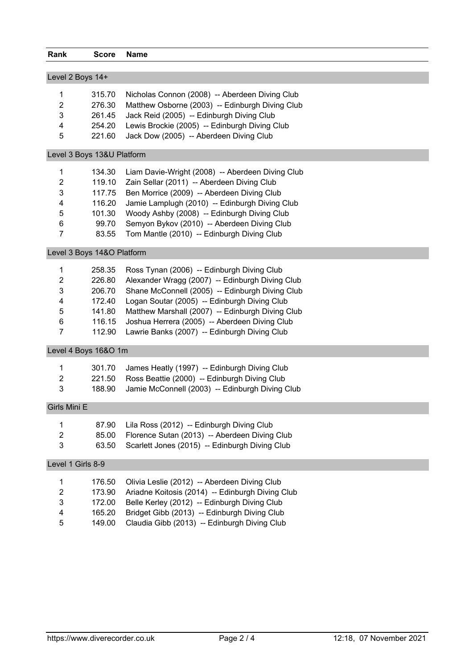| Rank                      | <b>Score</b>               | <b>Name</b>                                      |
|---------------------------|----------------------------|--------------------------------------------------|
|                           |                            |                                                  |
|                           | Level 2 Boys 14+           |                                                  |
| 1                         | 315.70                     | Nicholas Connon (2008) -- Aberdeen Diving Club   |
| $\overline{2}$            | 276.30                     | Matthew Osborne (2003) -- Edinburgh Diving Club  |
| 3                         | 261.45                     | Jack Reid (2005) -- Edinburgh Diving Club        |
| 4                         | 254.20                     | Lewis Brockie (2005) -- Edinburgh Diving Club    |
| 5                         | 221.60                     | Jack Dow (2005) -- Aberdeen Diving Club          |
|                           | Level 3 Boys 13&U Platform |                                                  |
| 1                         | 134.30                     | Liam Davie-Wright (2008) -- Aberdeen Diving Club |
| $\overline{2}$            | 119.10                     | Zain Sellar (2011) -- Aberdeen Diving Club       |
| 3                         | 117.75                     | Ben Morrice (2009) -- Aberdeen Diving Club       |
| 4                         | 116.20                     | Jamie Lamplugh (2010) -- Edinburgh Diving Club   |
| 5                         | 101.30                     | Woody Ashby (2008) -- Edinburgh Diving Club      |
| 6                         | 99.70                      | Semyon Bykov (2010) -- Aberdeen Diving Club      |
| $\overline{7}$            | 83.55                      | Tom Mantle (2010) -- Edinburgh Diving Club       |
|                           | Level 3 Boys 14&O Platform |                                                  |
| $\mathbf{1}$              | 258.35                     | Ross Tynan (2006) -- Edinburgh Diving Club       |
| $\overline{2}$            | 226.80                     | Alexander Wragg (2007) -- Edinburgh Diving Club  |
| 3                         | 206.70                     | Shane McConnell (2005) -- Edinburgh Diving Club  |
| 4                         | 172.40                     | Logan Soutar (2005) -- Edinburgh Diving Club     |
| 5                         | 141.80                     | Matthew Marshall (2007) -- Edinburgh Diving Club |
| $\,6$                     | 116.15                     | Joshua Herrera (2005) -- Aberdeen Diving Club    |
| $\overline{7}$            | 112.90                     | Lawrie Banks (2007) -- Edinburgh Diving Club     |
|                           | Level 4 Boys 16&O 1m       |                                                  |
| 1                         | 301.70                     | James Heatly (1997) -- Edinburgh Diving Club     |
| $\overline{2}$            | 221.50                     | Ross Beattie (2000) -- Edinburgh Diving Club     |
| $\mathbf{3}$              | 188.90                     | Jamie McConnell (2003) -- Edinburgh Diving Club  |
| Girls Mini E              |                            |                                                  |
| $\mathbf{1}$              | 87.90                      | Lila Ross (2012) -- Edinburgh Diving Club        |
| $\boldsymbol{2}$          | 85.00                      | Florence Sutan (2013) -- Aberdeen Diving Club    |
| 3                         | 63.50                      | Scarlett Jones (2015) -- Edinburgh Diving Club   |
|                           |                            |                                                  |
|                           | Level 1 Girls 8-9          |                                                  |
| $\mathbf{1}$              | 176.50                     | Olivia Leslie (2012) -- Aberdeen Diving Club     |
| $\sqrt{2}$                | 173.90                     | Ariadne Koitosis (2014) -- Edinburgh Diving Club |
| $\ensuremath{\mathsf{3}}$ | 172.00                     | Belle Kerley (2012) -- Edinburgh Diving Club     |
| $\overline{\mathbf{4}}$   | 165.20                     | Bridget Gibb (2013) -- Edinburgh Diving Club     |
| 5                         | 149.00                     | Claudia Gibb (2013) -- Edinburgh Diving Club     |
|                           |                            |                                                  |
|                           |                            |                                                  |
|                           |                            |                                                  |
|                           |                            |                                                  |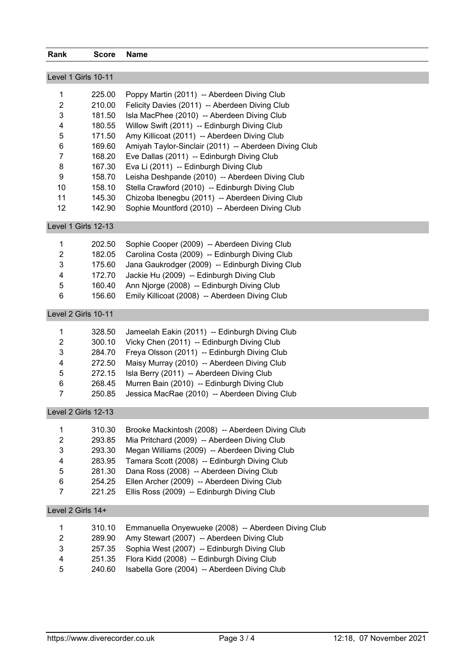| Rank                      | <b>Score</b>     | <b>Name</b>                                                                                  |  |
|---------------------------|------------------|----------------------------------------------------------------------------------------------|--|
| Level 1 Girls 10-11       |                  |                                                                                              |  |
|                           |                  |                                                                                              |  |
| 1                         | 225.00           | Poppy Martin (2011) -- Aberdeen Diving Club                                                  |  |
| $\overline{a}$            | 210.00           | Felicity Davies (2011) -- Aberdeen Diving Club                                               |  |
| 3                         | 181.50           | Isla MacPhee (2010) -- Aberdeen Diving Club                                                  |  |
| 4<br>5                    | 180.55<br>171.50 | Willow Swift (2011) -- Edinburgh Diving Club<br>Amy Killicoat (2011) -- Aberdeen Diving Club |  |
| $\,6$                     | 169.60           | Amiyah Taylor-Sinclair (2011) -- Aberdeen Diving Club                                        |  |
| $\overline{7}$            | 168.20           | Eve Dallas (2011) -- Edinburgh Diving Club                                                   |  |
| 8                         | 167.30           | Eva Li (2011) -- Edinburgh Diving Club                                                       |  |
| 9                         | 158.70           | Leisha Deshpande (2010) -- Aberdeen Diving Club                                              |  |
| 10                        | 158.10           | Stella Crawford (2010) -- Edinburgh Diving Club                                              |  |
| 11                        | 145.30           | Chizoba Ibenegbu (2011) -- Aberdeen Diving Club                                              |  |
| 12                        | 142.90           | Sophie Mountford (2010) -- Aberdeen Diving Club                                              |  |
|                           |                  |                                                                                              |  |
| Level 1 Girls 12-13       |                  |                                                                                              |  |
| 1                         | 202.50           | Sophie Cooper (2009) -- Aberdeen Diving Club                                                 |  |
| $\overline{c}$            | 182.05           | Carolina Costa (2009) -- Edinburgh Diving Club                                               |  |
| 3                         | 175.60           | Jana Gaukrodger (2009) -- Edinburgh Diving Club                                              |  |
| $\overline{\mathbf{4}}$   | 172.70           | Jackie Hu (2009) -- Edinburgh Diving Club                                                    |  |
| 5                         | 160.40           | Ann Njorge (2008) -- Edinburgh Diving Club                                                   |  |
| 6                         | 156.60           | Emily Killicoat (2008) -- Aberdeen Diving Club                                               |  |
| Level 2 Girls 10-11       |                  |                                                                                              |  |
| 1                         | 328.50           | Jameelah Eakin (2011) -- Edinburgh Diving Club                                               |  |
| $\overline{c}$            | 300.10           | Vicky Chen (2011) -- Edinburgh Diving Club                                                   |  |
| 3                         | 284.70           | Freya Olsson (2011) -- Edinburgh Diving Club                                                 |  |
| 4                         | 272.50           | Maisy Murray (2010) -- Aberdeen Diving Club                                                  |  |
| 5                         | 272.15           | Isla Berry (2011) -- Aberdeen Diving Club                                                    |  |
| 6                         | 268.45           | Murren Bain (2010) -- Edinburgh Diving Club                                                  |  |
| $\overline{7}$            | 250.85           | Jessica MacRae (2010) -- Aberdeen Diving Club                                                |  |
|                           |                  |                                                                                              |  |
| Level 2 Girls 12-13       |                  |                                                                                              |  |
| 1                         | 310.30           | Brooke Mackintosh (2008) -- Aberdeen Diving Club                                             |  |
| $\overline{2}$            | 293.85           | Mia Pritchard (2009) -- Aberdeen Diving Club                                                 |  |
| $\ensuremath{\mathsf{3}}$ | 293.30           | Megan Williams (2009) -- Aberdeen Diving Club                                                |  |
| 4                         | 283.95           | Tamara Scott (2008) -- Edinburgh Diving Club                                                 |  |
| 5                         | 281.30           | Dana Ross (2008) -- Aberdeen Diving Club                                                     |  |
| $\,6$                     | 254.25           | Ellen Archer (2009) -- Aberdeen Diving Club                                                  |  |
| $\overline{7}$            | 221.25           | Ellis Ross (2009) -- Edinburgh Diving Club                                                   |  |
| Level 2 Girls 14+         |                  |                                                                                              |  |
| 1                         | 310.10           | Emmanuella Onyewueke (2008) -- Aberdeen Diving Club                                          |  |
| $\overline{2}$            | 289.90           | Amy Stewart (2007) -- Aberdeen Diving Club                                                   |  |
| 3                         | 257.35           | Sophia West (2007) -- Edinburgh Diving Club                                                  |  |
| 4                         | 251.35           | Flora Kidd (2008) -- Edinburgh Diving Club                                                   |  |
| 5                         | 240.60           | Isabella Gore (2004) -- Aberdeen Diving Club                                                 |  |
|                           |                  |                                                                                              |  |